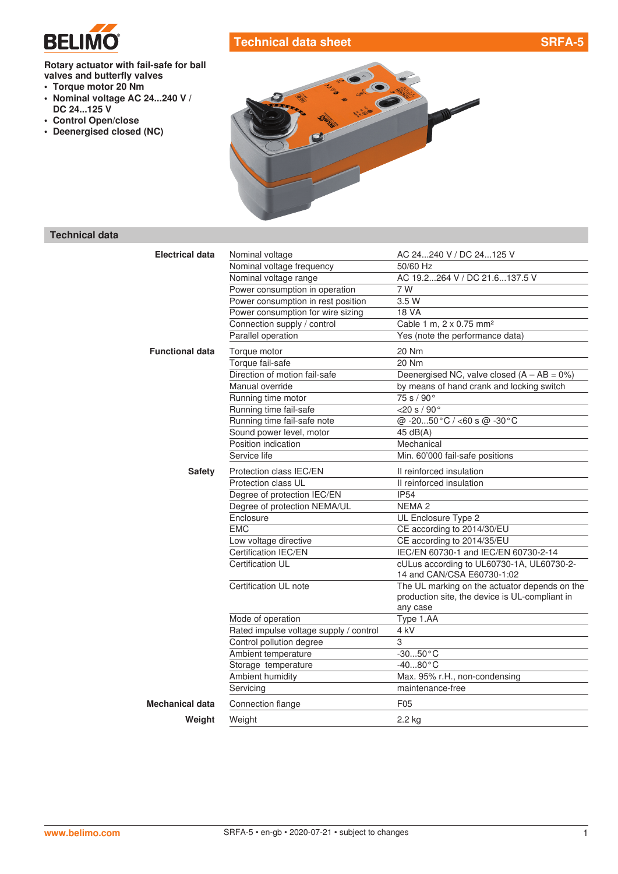

# **Technical data sheet SRFA-5**

**Rotary actuator with fail-safe for ball valves and butterfly valves**

- **• Torque motor 20 Nm**
- **• Nominal voltage AC 24...240 V / DC 24...125 V**
- **• Control Open/close**
- **• Deenergised closed (NC)**



## **Technical data**

| <b>Electrical data</b> | Nominal voltage                        | AC 24240 V / DC 24125 V                        |
|------------------------|----------------------------------------|------------------------------------------------|
|                        | Nominal voltage frequency              | 50/60 Hz                                       |
|                        | Nominal voltage range                  | AC 19.2264 V / DC 21.6137.5 V                  |
|                        | Power consumption in operation         | 7 W                                            |
|                        | Power consumption in rest position     | 3.5 W                                          |
|                        | Power consumption for wire sizing      | <b>18 VA</b>                                   |
|                        | Connection supply / control            | Cable 1 m, 2 x 0.75 mm <sup>2</sup>            |
|                        | Parallel operation                     | Yes (note the performance data)                |
| <b>Functional data</b> | Torque motor                           | 20 Nm                                          |
|                        | Torque fail-safe                       | 20 Nm                                          |
|                        | Direction of motion fail-safe          | Deenergised NC, valve closed $(A - AB = 0\%)$  |
|                        | Manual override                        | by means of hand crank and locking switch      |
|                        | Running time motor                     | 75 s / 90°                                     |
|                        | Running time fail-safe                 | $<$ 20 s / 90 $^{\circ}$                       |
|                        | Running time fail-safe note            | @ -2050°C / <60 s @ -30°C                      |
|                        | Sound power level, motor               | 45 $dB(A)$                                     |
|                        | Position indication                    | Mechanical                                     |
|                        | Service life                           | Min. 60'000 fail-safe positions                |
| <b>Safety</b>          | Protection class IEC/EN                | Il reinforced insulation                       |
|                        | Protection class UL                    | II reinforced insulation                       |
|                        | Degree of protection IEC/EN            | <b>IP54</b>                                    |
|                        | Degree of protection NEMA/UL           | NEMA <sub>2</sub>                              |
|                        | Enclosure                              | UL Enclosure Type 2                            |
|                        | <b>EMC</b>                             | CE according to 2014/30/EU                     |
|                        | Low voltage directive                  | CE according to 2014/35/EU                     |
|                        | Certification IEC/EN                   | IEC/EN 60730-1 and IEC/EN 60730-2-14           |
|                        | Certification UL                       | cULus according to UL60730-1A, UL60730-2-      |
|                        |                                        | 14 and CAN/CSA E60730-1:02                     |
|                        | Certification UL note                  | The UL marking on the actuator depends on the  |
|                        |                                        | production site, the device is UL-compliant in |
|                        | Mode of operation                      | any case<br>Type 1.AA                          |
|                        | Rated impulse voltage supply / control | 4 kV                                           |
|                        | Control pollution degree               | 3                                              |
|                        | Ambient temperature                    | $-3050$ °C                                     |
|                        | Storage temperature                    | $-4080$ °C                                     |
|                        | Ambient humidity                       | Max. 95% r.H., non-condensing                  |
|                        | Servicing                              | maintenance-free                               |
| Mechanical data        | Connection flange                      | F <sub>05</sub>                                |
| Weight                 | Weight                                 | 2.2 kg                                         |
|                        |                                        |                                                |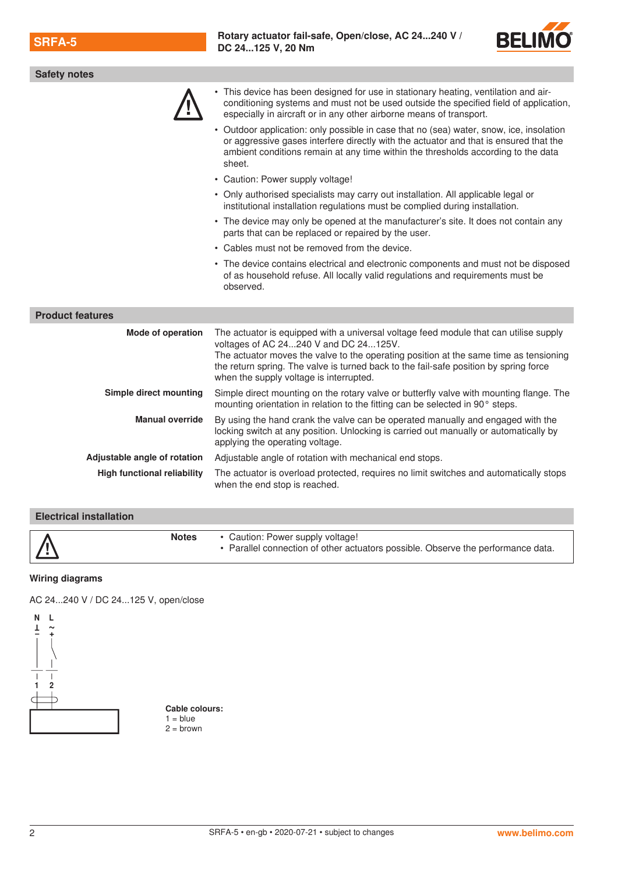

| <b>Safety notes</b>                |                                                                                                                                                                                                                                                                                                                                                             |
|------------------------------------|-------------------------------------------------------------------------------------------------------------------------------------------------------------------------------------------------------------------------------------------------------------------------------------------------------------------------------------------------------------|
|                                    | • This device has been designed for use in stationary heating, ventilation and air-<br>conditioning systems and must not be used outside the specified field of application,<br>especially in aircraft or in any other airborne means of transport.                                                                                                         |
|                                    | • Outdoor application: only possible in case that no (sea) water, snow, ice, insolation<br>or aggressive gases interfere directly with the actuator and that is ensured that the<br>ambient conditions remain at any time within the thresholds according to the data<br>sheet.                                                                             |
|                                    | • Caution: Power supply voltage!                                                                                                                                                                                                                                                                                                                            |
|                                    | • Only authorised specialists may carry out installation. All applicable legal or<br>institutional installation regulations must be complied during installation.                                                                                                                                                                                           |
|                                    | • The device may only be opened at the manufacturer's site. It does not contain any<br>parts that can be replaced or repaired by the user.                                                                                                                                                                                                                  |
|                                    | • Cables must not be removed from the device.                                                                                                                                                                                                                                                                                                               |
|                                    | • The device contains electrical and electronic components and must not be disposed<br>of as household refuse. All locally valid regulations and requirements must be<br>observed.                                                                                                                                                                          |
| <b>Product features</b>            |                                                                                                                                                                                                                                                                                                                                                             |
| <b>Mode of operation</b>           | The actuator is equipped with a universal voltage feed module that can utilise supply<br>voltages of AC 24240 V and DC 24125V.<br>The actuator moves the valve to the operating position at the same time as tensioning<br>the return spring. The valve is turned back to the fail-safe position by spring force<br>when the supply voltage is interrupted. |
| Simple direct mounting             | Simple direct mounting on the rotary valve or butterfly valve with mounting flange. The<br>mounting orientation in relation to the fitting can be selected in 90° steps.                                                                                                                                                                                    |
| <b>Manual override</b>             | By using the hand crank the valve can be operated manually and engaged with the<br>locking switch at any position. Unlocking is carried out manually or automatically by<br>applying the operating voltage.                                                                                                                                                 |
| Adjustable angle of rotation       | Adjustable angle of rotation with mechanical end stops.                                                                                                                                                                                                                                                                                                     |
| <b>High functional reliability</b> | The actuator is overload protected, requires no limit switches and automatically stops<br>when the end stop is reached.                                                                                                                                                                                                                                     |

### **Electrical installation**

| $\vert\Delta\vert$<br>. Parallel connection of other actuators possible. Observe the performance data. |
|--------------------------------------------------------------------------------------------------------|
|--------------------------------------------------------------------------------------------------------|

#### **Wiring diagrams**

AC 24...240 V / DC 24...125 V, open/close



**Cable colours:**  $1 = blue$  $2 =$  brown